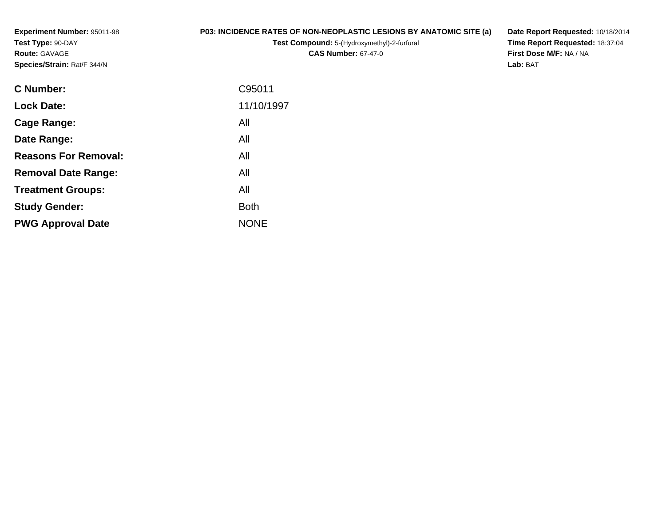**Experiment Number:** 95011-98**Test Type:** 90-DAY**Route:** GAVAGE**Species/Strain:** Rat/F 344/N

## **P03: INCIDENCE RATES OF NON-NEOPLASTIC LESIONS BY ANATOMIC SITE (a)**

**Test Compound:** 5-(Hydroxymethyl)-2-furfural **CAS Number:** 67-47-0

**Date Report Requested:** 10/18/2014**Time Report Requested:** 18:37:04**First Dose M/F:** NA / NA**Lab:** BAT

| <b>Lock Date:</b><br>All<br>Cage Range:<br>All<br>Date Range:<br><b>Reasons For Removal:</b><br>All<br>All<br><b>Removal Date Range:</b><br>All<br><b>Treatment Groups:</b><br><b>Both</b><br><b>Study Gender:</b><br><b>NONE</b><br><b>PWG Approval Date</b> | <b>C</b> Number: | C95011     |
|---------------------------------------------------------------------------------------------------------------------------------------------------------------------------------------------------------------------------------------------------------------|------------------|------------|
|                                                                                                                                                                                                                                                               |                  | 11/10/1997 |
|                                                                                                                                                                                                                                                               |                  |            |
|                                                                                                                                                                                                                                                               |                  |            |
|                                                                                                                                                                                                                                                               |                  |            |
|                                                                                                                                                                                                                                                               |                  |            |
|                                                                                                                                                                                                                                                               |                  |            |
|                                                                                                                                                                                                                                                               |                  |            |
|                                                                                                                                                                                                                                                               |                  |            |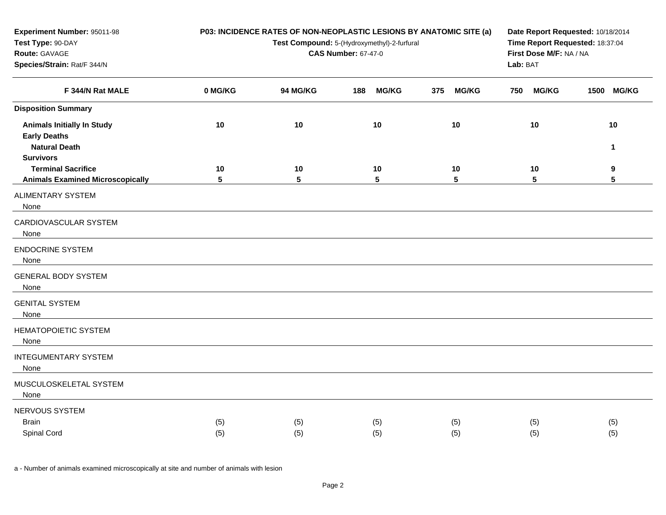| Experiment Number: 95011-98<br>Test Type: 90-DAY<br>Route: GAVAGE<br>Species/Strain: Rat/F 344/N     |            | P03: INCIDENCE RATES OF NON-NEOPLASTIC LESIONS BY ANATOMIC SITE (a)<br>Test Compound: 5-(Hydroxymethyl)-2-furfural<br><b>CAS Number: 67-47-0</b> | Date Report Requested: 10/18/2014<br>Time Report Requested: 18:37:04<br>First Dose M/F: NA / NA<br>Lab: BAT |                     |                       |                      |
|------------------------------------------------------------------------------------------------------|------------|--------------------------------------------------------------------------------------------------------------------------------------------------|-------------------------------------------------------------------------------------------------------------|---------------------|-----------------------|----------------------|
| F 344/N Rat MALE                                                                                     | 0 MG/KG    | 94 MG/KG                                                                                                                                         | <b>MG/KG</b><br>188                                                                                         | <b>MG/KG</b><br>375 | <b>MG/KG</b><br>750   | 1500 MG/KG           |
| <b>Disposition Summary</b>                                                                           |            |                                                                                                                                                  |                                                                                                             |                     |                       |                      |
| <b>Animals Initially In Study</b><br><b>Early Deaths</b><br><b>Natural Death</b><br><b>Survivors</b> | 10         | 10                                                                                                                                               | 10                                                                                                          | 10                  | 10                    | 10<br>1              |
| <b>Terminal Sacrifice</b><br><b>Animals Examined Microscopically</b>                                 | 10<br>5    | 10<br>$5\phantom{.0}$                                                                                                                            | 10<br>5                                                                                                     | 10<br>5             | 10<br>$5\phantom{.0}$ | 9<br>$5\phantom{.0}$ |
| <b>ALIMENTARY SYSTEM</b><br>None                                                                     |            |                                                                                                                                                  |                                                                                                             |                     |                       |                      |
| CARDIOVASCULAR SYSTEM<br>None                                                                        |            |                                                                                                                                                  |                                                                                                             |                     |                       |                      |
| <b>ENDOCRINE SYSTEM</b><br>None                                                                      |            |                                                                                                                                                  |                                                                                                             |                     |                       |                      |
| <b>GENERAL BODY SYSTEM</b><br>None                                                                   |            |                                                                                                                                                  |                                                                                                             |                     |                       |                      |
| <b>GENITAL SYSTEM</b><br>None                                                                        |            |                                                                                                                                                  |                                                                                                             |                     |                       |                      |
| HEMATOPOIETIC SYSTEM<br>None                                                                         |            |                                                                                                                                                  |                                                                                                             |                     |                       |                      |
| <b>INTEGUMENTARY SYSTEM</b><br>None                                                                  |            |                                                                                                                                                  |                                                                                                             |                     |                       |                      |
| MUSCULOSKELETAL SYSTEM<br>None                                                                       |            |                                                                                                                                                  |                                                                                                             |                     |                       |                      |
| NERVOUS SYSTEM<br><b>Brain</b><br>Spinal Cord                                                        | (5)<br>(5) | (5)<br>(5)                                                                                                                                       | (5)<br>(5)                                                                                                  | (5)<br>(5)          | (5)<br>(5)            | (5)<br>(5)           |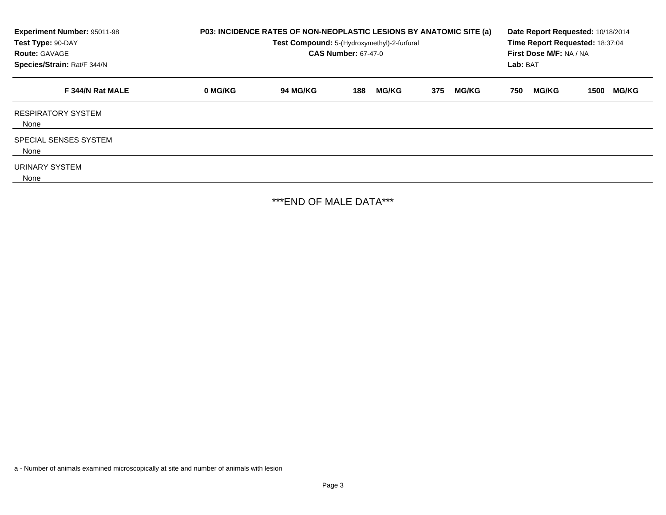| Experiment Number: 95011-98<br>Test Type: 90-DAY<br><b>Route: GAVAGE</b><br>Species/Strain: Rat/F 344/N | P03: INCIDENCE RATES OF NON-NEOPLASTIC LESIONS BY ANATOMIC SITE (a)<br>Test Compound: 5-(Hydroxymethyl)-2-furfural<br><b>CAS Number: 67-47-0</b> |          |     |              |     | Date Report Requested: 10/18/2014<br>Time Report Requested: 18:37:04<br>First Dose M/F: NA / NA<br>Lab: BAT |     |              |      |              |
|---------------------------------------------------------------------------------------------------------|--------------------------------------------------------------------------------------------------------------------------------------------------|----------|-----|--------------|-----|-------------------------------------------------------------------------------------------------------------|-----|--------------|------|--------------|
| F 344/N Rat MALE                                                                                        | 0 MG/KG                                                                                                                                          | 94 MG/KG | 188 | <b>MG/KG</b> | 375 | <b>MG/KG</b>                                                                                                | 750 | <b>MG/KG</b> | 1500 | <b>MG/KG</b> |
| <b>RESPIRATORY SYSTEM</b><br>None                                                                       |                                                                                                                                                  |          |     |              |     |                                                                                                             |     |              |      |              |
| SPECIAL SENSES SYSTEM<br>None                                                                           |                                                                                                                                                  |          |     |              |     |                                                                                                             |     |              |      |              |
| URINARY SYSTEM<br>None                                                                                  |                                                                                                                                                  |          |     |              |     |                                                                                                             |     |              |      |              |

\*\*\*END OF MALE DATA\*\*\*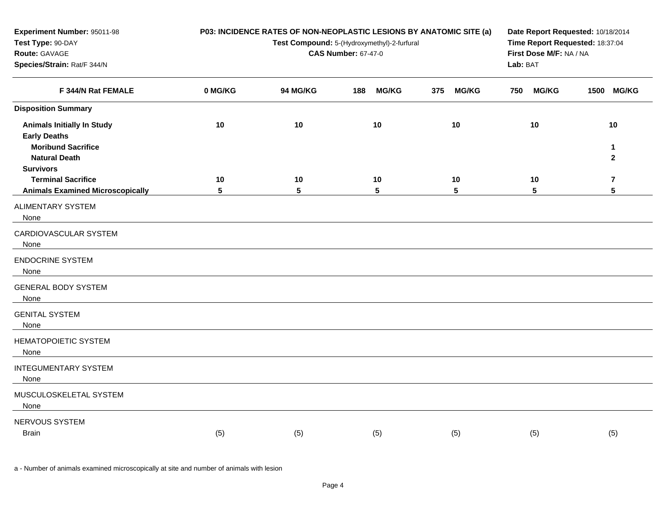| Experiment Number: 95011-98<br>Test Type: 90-DAY<br>Route: GAVAGE<br>Species/Strain: Rat/F 344/N |         | P03: INCIDENCE RATES OF NON-NEOPLASTIC LESIONS BY ANATOMIC SITE (a)<br>Test Compound: 5-(Hydroxymethyl)-2-furfural<br><b>CAS Number: 67-47-0</b> | Date Report Requested: 10/18/2014<br>Time Report Requested: 18:37:04<br>First Dose M/F: NA / NA<br>Lab: BAT |                     |                       |                              |
|--------------------------------------------------------------------------------------------------|---------|--------------------------------------------------------------------------------------------------------------------------------------------------|-------------------------------------------------------------------------------------------------------------|---------------------|-----------------------|------------------------------|
| F 344/N Rat FEMALE                                                                               | 0 MG/KG | 94 MG/KG                                                                                                                                         | 188<br><b>MG/KG</b>                                                                                         | 375<br><b>MG/KG</b> | <b>MG/KG</b><br>750   | 1500 MG/KG                   |
| <b>Disposition Summary</b>                                                                       |         |                                                                                                                                                  |                                                                                                             |                     |                       |                              |
| <b>Animals Initially In Study</b><br><b>Early Deaths</b>                                         | 10      | 10                                                                                                                                               | 10                                                                                                          | 10                  | 10                    | 10                           |
| <b>Moribund Sacrifice</b><br><b>Natural Death</b><br><b>Survivors</b>                            |         |                                                                                                                                                  |                                                                                                             |                     |                       | $\mathbf{1}$<br>$\mathbf{2}$ |
| <b>Terminal Sacrifice</b><br><b>Animals Examined Microscopically</b>                             | 10<br>5 | 10<br>5                                                                                                                                          | 10<br>$5\phantom{.0}$                                                                                       | 10<br>5             | 10<br>$5\phantom{.0}$ | $\overline{7}$<br>5          |
| ALIMENTARY SYSTEM<br>None                                                                        |         |                                                                                                                                                  |                                                                                                             |                     |                       |                              |
| CARDIOVASCULAR SYSTEM<br>None                                                                    |         |                                                                                                                                                  |                                                                                                             |                     |                       |                              |
| <b>ENDOCRINE SYSTEM</b><br>None                                                                  |         |                                                                                                                                                  |                                                                                                             |                     |                       |                              |
| <b>GENERAL BODY SYSTEM</b><br>None                                                               |         |                                                                                                                                                  |                                                                                                             |                     |                       |                              |
| <b>GENITAL SYSTEM</b><br>None                                                                    |         |                                                                                                                                                  |                                                                                                             |                     |                       |                              |
| <b>HEMATOPOIETIC SYSTEM</b><br>None                                                              |         |                                                                                                                                                  |                                                                                                             |                     |                       |                              |
| <b>INTEGUMENTARY SYSTEM</b><br>None                                                              |         |                                                                                                                                                  |                                                                                                             |                     |                       |                              |
| MUSCULOSKELETAL SYSTEM<br>None                                                                   |         |                                                                                                                                                  |                                                                                                             |                     |                       |                              |
| NERVOUS SYSTEM<br><b>Brain</b>                                                                   | (5)     | (5)                                                                                                                                              | (5)                                                                                                         | (5)                 | (5)                   | (5)                          |